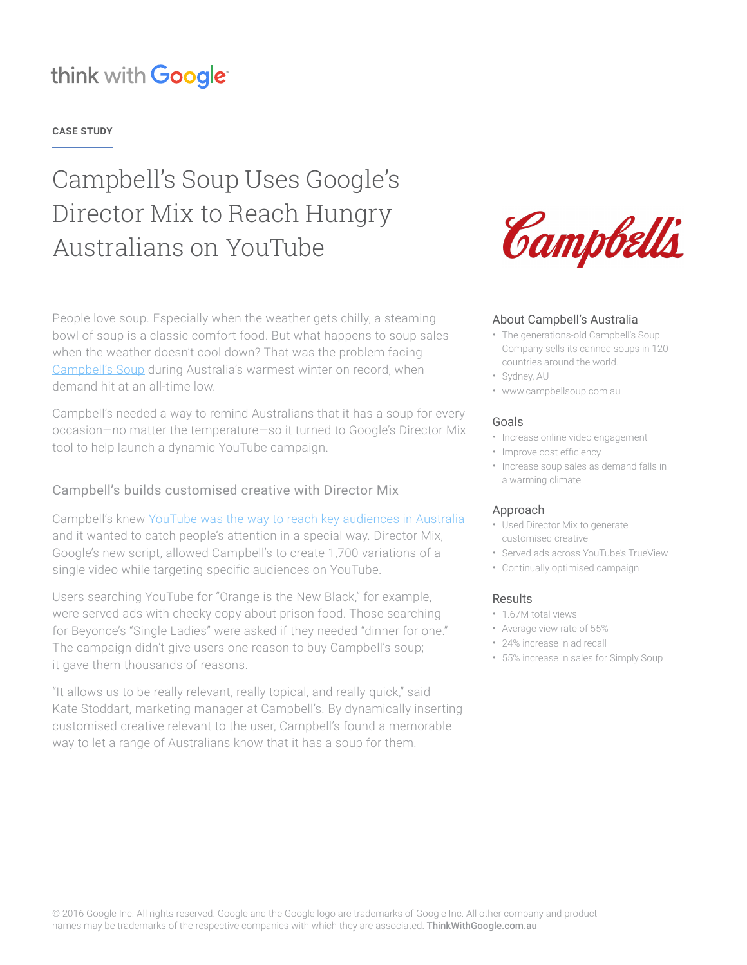## think with Google

#### **CASE STUDY**

# Campbell's Soup Uses Google's Director Mix to Reach Hungry Australians on YouTube

People love soup. Especially when the weather gets chilly, a steaming bowl of soup is a classic comfort food. But what happens to soup sales when the weather doesn't cool down? That was the problem facing [Campbell's Soup](http://www.campbellsoup.com.au/) during Australia's warmest winter on record, when demand hit at an all-time low.

Campbell's needed a way to remind Australians that it has a soup for every occasion—no matter the temperature—so it turned to Google's Director Mix tool to help launch a dynamic YouTube campaign.

### Campbell's builds customised creative with Director Mix

Campbell's knew YouTube was the way to reach key audiences in Australia and it wanted to catch people's attention in a special way. Director Mix, Google's new script, allowed Campbell's to create 1,700 variations of a single video while targeting specific audiences on YouTube.

Users searching YouTube for "Orange is the New Black," for example, were served ads with cheeky copy about prison food. Those searching for Beyonce's "Single Ladies" were asked if they needed "dinner for one." The campaign didn't give users one reason to buy Campbell's soup; it gave them thousands of reasons.

"It allows us to be really relevant, really topical, and really quick," said Kate Stoddart, marketing manager at Campbell's. By dynamically inserting customised creative relevant to the user, Campbell's found a memorable way to let a range of Australians know that it has a soup for them.



#### About Campbell's Australia

- The generations-old Campbell's Soup Company sells its canned soups in 120
- countries around the world.
- Sydney, AU
- www.campbellsoup.com.au

#### Goals

- Increase online video engagement
- Improve cost efficiency
- Increase soup sales as demand falls in a warming climate

#### Approach

- Used Director Mix to generate customised creative
- Served ads across YouTube's TrueView
- Continually optimised campaign

#### **Results**

- 1.67M total views
- Average view rate of 55%
- 24% increase in ad recall
- 55% increase in sales for Simply Soup